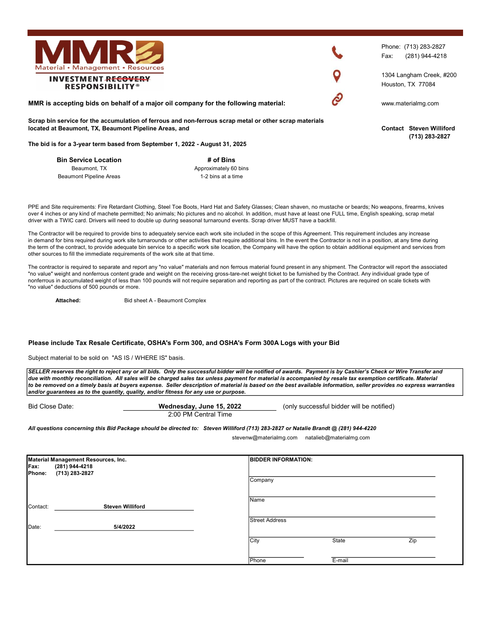

PPE and Site requirements: Fire Retardant Clothing, Steel Toe Boots, Hard Hat and Safety Glasses; Clean shaven, no mustache or beards; No weapons, firearms, knives over 4 inches or any kind of machete permitted; No animals; No pictures and no alcohol. In addition, must have at least one FULL time, English speaking, scrap metal driver with a TWIC card. Drivers will need to double up during seasonal turnaround events. Scrap driver MUST have a backfill.

# of Bins Approximately 60 bins 1-2 bins at a time

The Contractor will be required to provide bins to adequately service each work site included in the scope of this Agreement. This requirement includes any increase in demand for bins required during work site turnarounds or other activities that require additional bins. In the event the Contractor is not in a position, at any time during the term of the contract, to provide adequate bin service to a specific work site location, the Company will have the option to obtain additional equipment and services from other sources to fill the immediate requirements of the work site at that time.

The contractor is required to separate and report any "no value" materials and non ferrous material found present in any shipment. The Contractor will report the associated "no value" weight and nonferrous content grade and weight on the receiving gross-tare-net weight ticket to be furnished by the Contract. Any individual grade type of nonferrous in accumulated weight of less than 100 pounds will not require separation and reporting as part of the contract. Pictures are required on scale tickets with "no value" deductions of 500 pounds or more.

Attached: **Bid sheet A - Beaumont Complex** 

## Please include Tax Resale Certificate, OSHA's Form 300, and OSHA's Form 300A Logs with your Bid

Subject material to be sold on "AS IS / WHERE IS" basis.

Bin Service Location Beaumont, TX Beaumont Pipeline Areas

SELLER reserves the right to reject any or all bids. Only the successful bidder will be notified of awards. Payment is by Cashier's Check or Wire Transfer and due with monthly reconciliation. All sales will be charged sales tax unless payment for material is accompanied by resale tax exemption certificate. Material to be removed on a timely basis at buyers expense. Seller description of material is based on the best available information, seller provides no express warranties and/or guarantees as to the quantity, quality, and/or fitness for any use or purpose.

| Bid Close Date: | Wednesday, June 15, 2022 | (only successful bidder will be notified) |  |  |
|-----------------|--------------------------|-------------------------------------------|--|--|
|                 | 2:00 PM Central Time     |                                           |  |  |

All questions concerning this Bid Package should be directed to: Steven Williford (713) 283-2827 or Natalie Brandt @ (281) 944-4220

stevenw@materialmg.com natalieb@materialmg.com

| Material Management Resources, Inc. |                         |             | <b>BIDDER INFORMATION:</b> |        |     |  |
|-------------------------------------|-------------------------|-------------|----------------------------|--------|-----|--|
| Fax:                                | (281) 944-4218          |             |                            |        |     |  |
| Phone:                              | (713) 283-2827          |             |                            |        |     |  |
|                                     |                         |             | Company                    |        |     |  |
|                                     |                         |             |                            |        |     |  |
|                                     |                         | <b>Name</b> |                            |        |     |  |
| Contact:                            | <b>Steven Williford</b> |             |                            |        |     |  |
|                                     |                         |             |                            |        |     |  |
|                                     |                         |             | <b>Street Address</b>      |        |     |  |
| Date:                               | 5/4/2022                |             |                            |        |     |  |
|                                     |                         |             |                            |        |     |  |
|                                     |                         | City        |                            | State  | Zip |  |
|                                     |                         |             |                            |        |     |  |
|                                     |                         |             | Phone                      | E-mail |     |  |